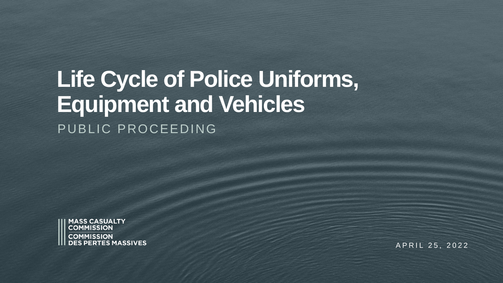### **Life Cycle of Police Uniforms, Equipment and Vehicles**  PUBLIC PROCEEDING



A P R I L 25, 2022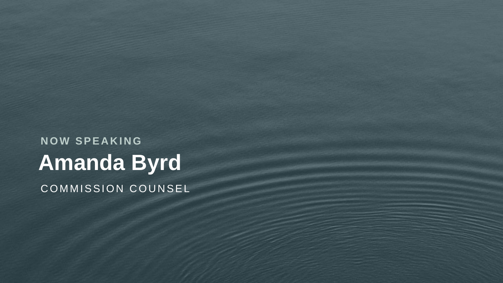**Amanda Byrd N O W S P E A K I N G** COMMISSION COUNSEL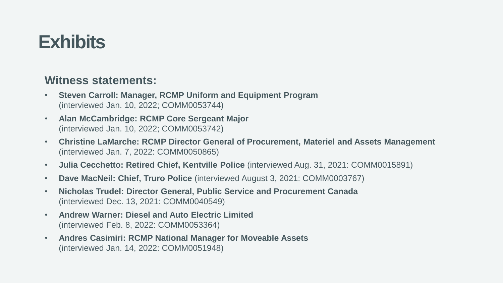### **Exhibits**

#### **Witness statements:**

- **Steven Carroll: Manager, RCMP Uniform and Equipment Program**  (interviewed Jan. 10, 2022; COMM0053744)
- **Alan McCambridge: RCMP Core Sergeant Major**  (interviewed Jan. 10, 2022; COMM0053742)
- **Christine LaMarche: RCMP Director General of Procurement, Materiel and Assets Management**  (interviewed Jan. 7, 2022: COMM0050865)
- **Julia Cecchetto: Retired Chief, Kentville Police** (interviewed Aug. 31, 2021: COMM0015891)
- **Dave MacNeil: Chief, Truro Police** (interviewed August 3, 2021: COMM0003767)
- **Nicholas Trudel: Director General, Public Service and Procurement Canada**  (interviewed Dec. 13, 2021: COMM0040549)
- **Andrew Warner: Diesel and Auto Electric Limited**  (interviewed Feb. 8, 2022: COMM0053364)
- **Andres Casimiri: RCMP National Manager for Moveable Assets**  (interviewed Jan. 14, 2022: COMM0051948)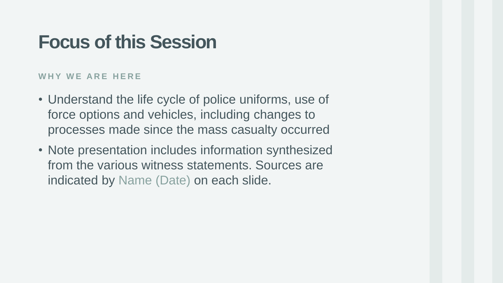### **Focus of this Session**

#### **W H Y W E A R E H E R E**

- Understand the life cycle of police uniforms, use of force options and vehicles, including changes to processes made since the mass casualty occurred
- Note presentation includes information synthesized from the various witness statements. Sources are indicated by Name (Date) on each slide.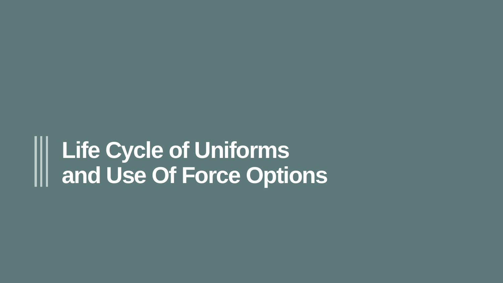## **Life Cycle of Uniforms and Use Of Force Options**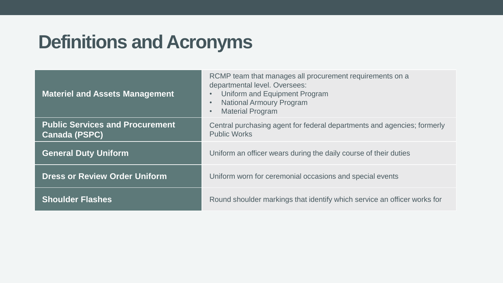### **Definitions and Acronyms**

| <b>Materiel and Assets Management</b>                          | RCMP team that manages all procurement requirements on a<br>departmental level. Oversees:<br>Uniform and Equipment Program<br><b>National Armoury Program</b><br><b>Material Program</b> |
|----------------------------------------------------------------|------------------------------------------------------------------------------------------------------------------------------------------------------------------------------------------|
| <b>Public Services and Procurement</b><br><b>Canada (PSPC)</b> | Central purchasing agent for federal departments and agencies; formerly<br><b>Public Works</b>                                                                                           |
| <b>General Duty Uniform</b>                                    | Uniform an officer wears during the daily course of their duties                                                                                                                         |
| <b>Dress or Review Order Uniform</b>                           | Uniform worn for ceremonial occasions and special events                                                                                                                                 |
| <b>Shoulder Flashes</b>                                        | Round shoulder markings that identify which service an officer works for                                                                                                                 |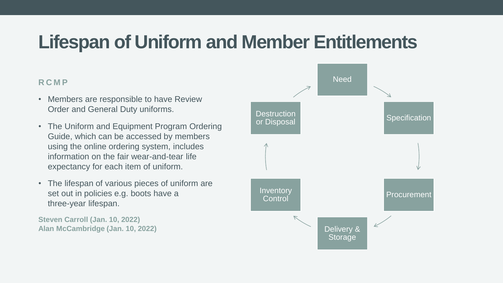### **Lifespan of Uniform and Member Entitlements**

#### **R C M P**

- Members are responsible to have Review Order and General Duty uniforms.
- The Uniform and Equipment Program Ordering Guide, which can be accessed by members using the online ordering system, includes information on the fair wear-and-tear life expectancy for each item of uniform.
- The lifespan of various pieces of uniform are set out in policies e.g. boots have a three-year lifespan.

**Steven Carroll (Jan. 10, 2022) Alan McCambridge (Jan. 10, 2022)**

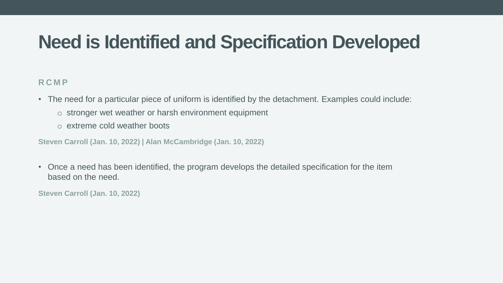### **Need is Identified and Specification Developed**

#### **R C M P**

• The need for a particular piece of uniform is identified by the detachment. Examples could include:

- o stronger wet weather or harsh environment equipment
- o extreme cold weather boots

**Steven Carroll (Jan. 10, 2022) | Alan McCambridge (Jan. 10, 2022)**

• Once a need has been identified, the program develops the detailed specification for the item based on the need.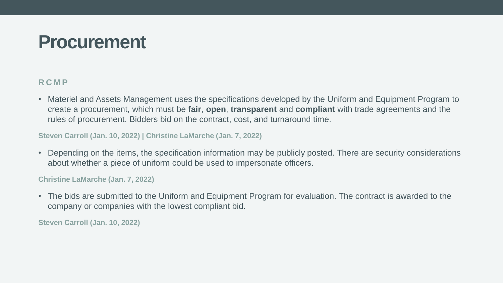### **Procurement**

#### **R C M P**

• Materiel and Assets Management uses the specifications developed by the Uniform and Equipment Program to create a procurement, which must be **fair**, **open**, **transparent** and **compliant** with trade agreements and the rules of procurement. Bidders bid on the contract, cost, and turnaround time.

#### **Steven Carroll (Jan. 10, 2022) | Christine LaMarche (Jan. 7, 2022)**

• Depending on the items, the specification information may be publicly posted. There are security considerations about whether a piece of uniform could be used to impersonate officers.

#### **Christine LaMarche (Jan. 7, 2022)**

• The bids are submitted to the Uniform and Equipment Program for evaluation. The contract is awarded to the company or companies with the lowest compliant bid.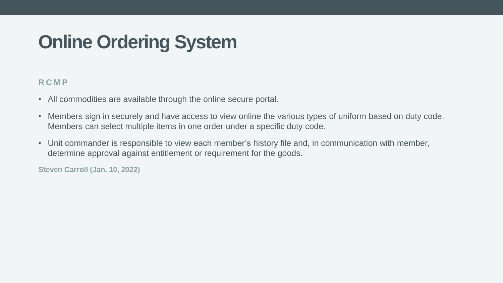### **Online Ordering System**

#### **R C M P**

- All commodities are available through the online secure portal.
- Members sign in securely and have access to view online the various types of uniform based on duty code. Members can select multiple items in one order under a specific duty code.
- Unit commander is responsible to view each member's history file and, in communication with member, determine approval against entitlement or requirement for the goods.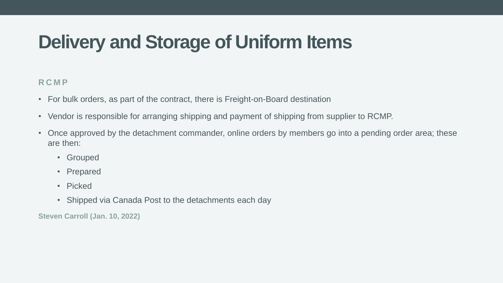### **Delivery and Storage of Uniform Items**

#### **R C M P**

- For bulk orders, as part of the contract, there is Freight-on-Board destination
- Vendor is responsible for arranging shipping and payment of shipping from supplier to RCMP.
- Once approved by the detachment commander, online orders by members go into a pending order area; these are then:
	- Grouped
	- Prepared
	- Picked
	- Shipped via Canada Post to the detachments each day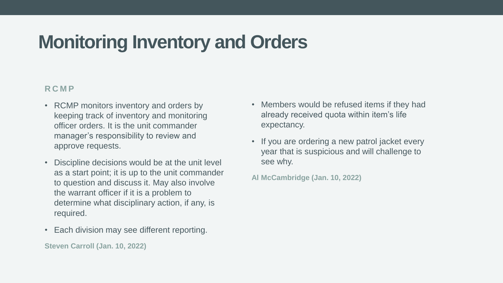### **Monitoring Inventory and Orders**

#### **R C M P**

- RCMP monitors inventory and orders by keeping track of inventory and monitoring officer orders. It is the unit commander manager's responsibility to review and approve requests.
- Discipline decisions would be at the unit level as a start point; it is up to the unit commander to question and discuss it. May also involve the warrant officer if it is a problem to determine what disciplinary action, if any, is required.
- Each division may see different reporting.

- Members would be refused items if they had already received quota within item's life expectancy.
- If you are ordering a new patrol jacket every year that is suspicious and will challenge to see why.
- **Al McCambridge (Jan. 10, 2022)**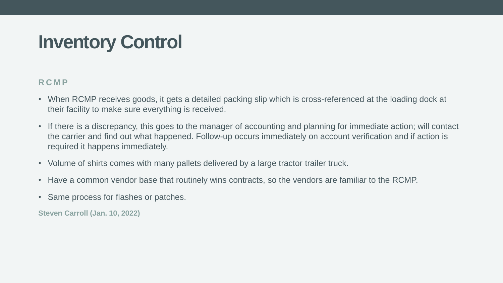### **Inventory Control**

#### **R C M P**

- When RCMP receives goods, it gets a detailed packing slip which is cross-referenced at the loading dock at their facility to make sure everything is received.
- If there is a discrepancy, this goes to the manager of accounting and planning for immediate action; will contact the carrier and find out what happened. Follow-up occurs immediately on account verification and if action is required it happens immediately.
- Volume of shirts comes with many pallets delivered by a large tractor trailer truck.
- Have a common vendor base that routinely wins contracts, so the vendors are familiar to the RCMP.
- Same process for flashes or patches.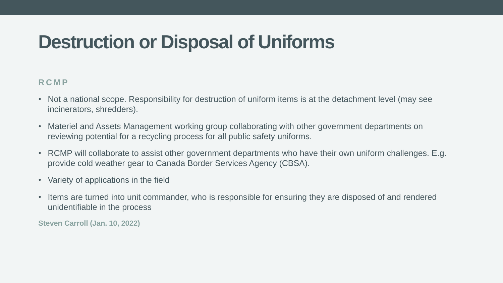### **Destruction or Disposal of Uniforms**

#### **R C M P**

- Not a national scope. Responsibility for destruction of uniform items is at the detachment level (may see incinerators, shredders).
- Materiel and Assets Management working group collaborating with other government departments on reviewing potential for a recycling process for all public safety uniforms.
- RCMP will collaborate to assist other government departments who have their own uniform challenges. E.g. provide cold weather gear to Canada Border Services Agency (CBSA).
- Variety of applications in the field
- Items are turned into unit commander, who is responsible for ensuring they are disposed of and rendered unidentifiable in the process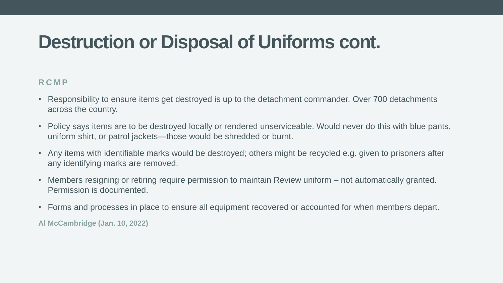### **Destruction or Disposal of Uniforms cont.**

#### **R C M P**

- Responsibility to ensure items get destroyed is up to the detachment commander. Over 700 detachments across the country.
- Policy says items are to be destroyed locally or rendered unserviceable. Would never do this with blue pants, uniform shirt, or patrol jackets—those would be shredded or burnt.
- Any items with identifiable marks would be destroyed; others might be recycled e.g. given to prisoners after any identifying marks are removed.
- Members resigning or retiring require permission to maintain Review uniform not automatically granted. Permission is documented.
- Forms and processes in place to ensure all equipment recovered or accounted for when members depart.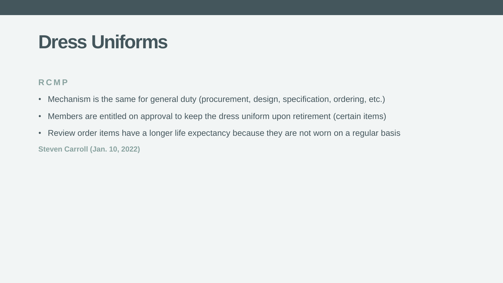### **Dress Uniforms**

#### **R C M P**

- Mechanism is the same for general duty (procurement, design, specification, ordering, etc.)
- Members are entitled on approval to keep the dress uniform upon retirement (certain items)
- Review order items have a longer life expectancy because they are not worn on a regular basis **Steven Carroll (Jan. 10, 2022)**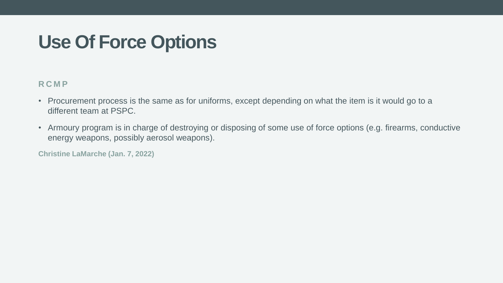### **Use Of Force Options**

#### **R C M P**

- Procurement process is the same as for uniforms, except depending on what the item is it would go to a different team at PSPC.
- Armoury program is in charge of destroying or disposing of some use of force options (e.g. firearms, conductive energy weapons, possibly aerosol weapons).

**Christine LaMarche (Jan. 7, 2022)**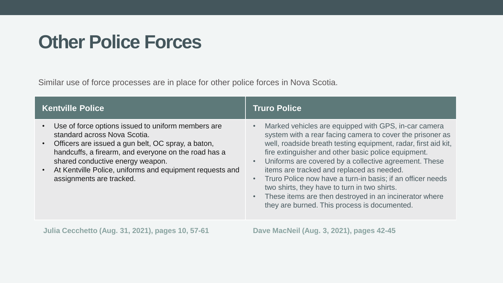### **Other Police Forces**

Similar use of force processes are in place for other police forces in Nova Scotia.

| <b>Kentville Police</b>                                                                                                                                                                                                                                                                                                                   | <b>Truro Police</b>                                                                                                                                                                                                                                                                                                                                                                                                                                                                                                                                                                                |
|-------------------------------------------------------------------------------------------------------------------------------------------------------------------------------------------------------------------------------------------------------------------------------------------------------------------------------------------|----------------------------------------------------------------------------------------------------------------------------------------------------------------------------------------------------------------------------------------------------------------------------------------------------------------------------------------------------------------------------------------------------------------------------------------------------------------------------------------------------------------------------------------------------------------------------------------------------|
| Use of force options issued to uniform members are<br>standard across Nova Scotia.<br>Officers are issued a gun belt, OC spray, a baton,<br>$\bullet$<br>handcuffs, a firearm, and everyone on the road has a<br>shared conductive energy weapon.<br>At Kentville Police, uniforms and equipment requests and<br>assignments are tracked. | Marked vehicles are equipped with GPS, in-car camera<br>system with a rear facing camera to cover the prisoner as<br>well, roadside breath testing equipment, radar, first aid kit,<br>fire extinguisher and other basic police equipment.<br>Uniforms are covered by a collective agreement. These<br>$\bullet$<br>items are tracked and replaced as needed.<br>Truro Police now have a turn-in basis; if an officer needs<br>$\bullet$<br>two shirts, they have to turn in two shirts.<br>These items are then destroyed in an incinerator where<br>they are burned. This process is documented. |
| <b>Julia Cecchetto (Aug. 31, 2021), pages 10, 57-61</b>                                                                                                                                                                                                                                                                                   | Dave MacNeil (Aug. 3, 2021), pages 42-45                                                                                                                                                                                                                                                                                                                                                                                                                                                                                                                                                           |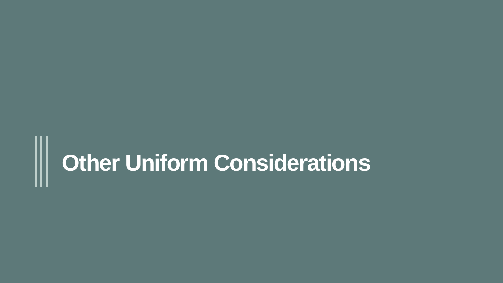# **Other Uniform Considerations**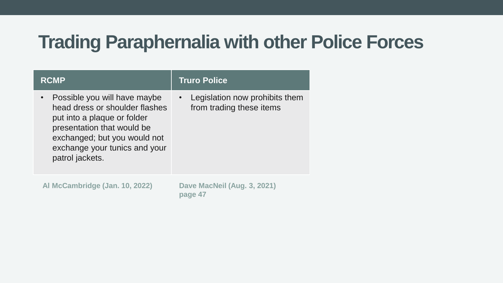### **Trading Paraphernalia with other Police Forces**

| <b>RCMP</b>                                                                                                                                                                                                     | <b>Truro Police</b>                                        |
|-----------------------------------------------------------------------------------------------------------------------------------------------------------------------------------------------------------------|------------------------------------------------------------|
| Possible you will have maybe<br>head dress or shoulder flashes<br>put into a plaque or folder<br>presentation that would be<br>exchanged; but you would not<br>exchange your tunics and your<br>patrol jackets. | Legislation now prohibits them<br>from trading these items |
| Al McCambridge (Jan. 10, 2022)                                                                                                                                                                                  | Dave MacNeil (Aug. 3, 2021)<br>page 47                     |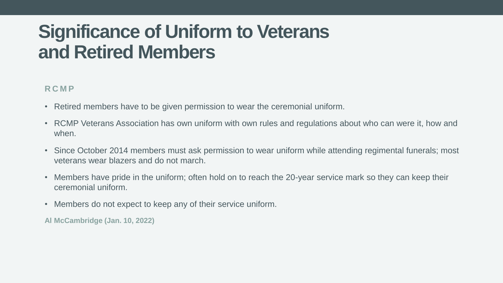### **Significance of Uniform to Veterans and Retired Members**

#### **R C M P**

- Retired members have to be given permission to wear the ceremonial uniform.
- RCMP Veterans Association has own uniform with own rules and regulations about who can were it, how and when.
- Since October 2014 members must ask permission to wear uniform while attending regimental funerals; most veterans wear blazers and do not march.
- Members have pride in the uniform; often hold on to reach the 20-year service mark so they can keep their ceremonial uniform.
- Members do not expect to keep any of their service uniform.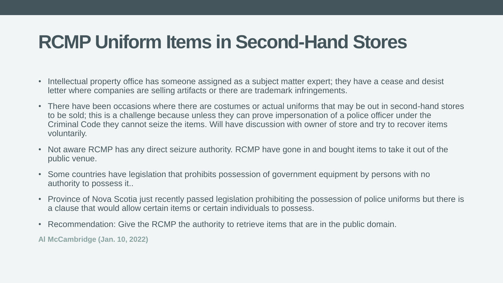### **RCMP Uniform Items in Second-Hand Stores**

- Intellectual property office has someone assigned as a subject matter expert; they have a cease and desist letter where companies are selling artifacts or there are trademark infringements.
- There have been occasions where there are costumes or actual uniforms that may be out in second-hand stores to be sold; this is a challenge because unless they can prove impersonation of a police officer under the Criminal Code they cannot seize the items. Will have discussion with owner of store and try to recover items voluntarily.
- Not aware RCMP has any direct seizure authority. RCMP have gone in and bought items to take it out of the public venue.
- Some countries have legislation that prohibits possession of government equipment by persons with no authority to possess it..
- Province of Nova Scotia just recently passed legislation prohibiting the possession of police uniforms but there is a clause that would allow certain items or certain individuals to possess.
- Recommendation: Give the RCMP the authority to retrieve items that are in the public domain.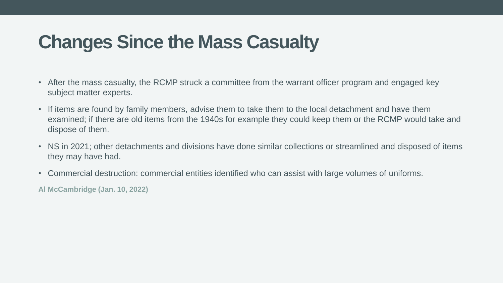### **Changes Since the Mass Casualty**

- After the mass casualty, the RCMP struck a committee from the warrant officer program and engaged key subject matter experts.
- If items are found by family members, advise them to take them to the local detachment and have them examined; if there are old items from the 1940s for example they could keep them or the RCMP would take and dispose of them.
- NS in 2021; other detachments and divisions have done similar collections or streamlined and disposed of items they may have had.
- Commercial destruction: commercial entities identified who can assist with large volumes of uniforms.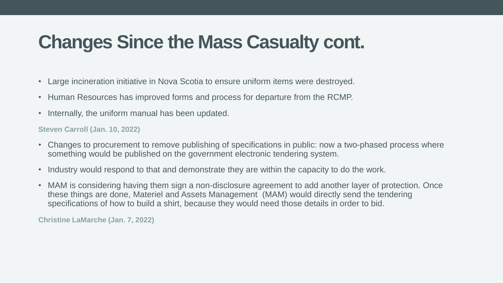### **Changes Since the Mass Casualty cont.**

- Large incineration initiative in Nova Scotia to ensure uniform items were destroyed.
- Human Resources has improved forms and process for departure from the RCMP.
- Internally, the uniform manual has been updated.

#### **Steven Carroll (Jan. 10, 2022)**

- Changes to procurement to remove publishing of specifications in public: now a two-phased process where something would be published on the government electronic tendering system.
- Industry would respond to that and demonstrate they are within the capacity to do the work.
- MAM is considering having them sign a non-disclosure agreement to add another layer of protection. Once these things are done, Materiel and Assets Management (MAM) would directly send the tendering specifications of how to build a shirt, because they would need those details in order to bid.

**Christine LaMarche (Jan. 7, 2022)**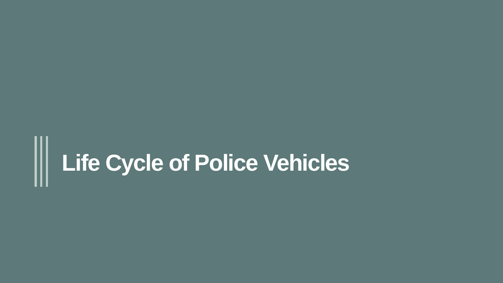### **Life Cycle of Police Vehicles** III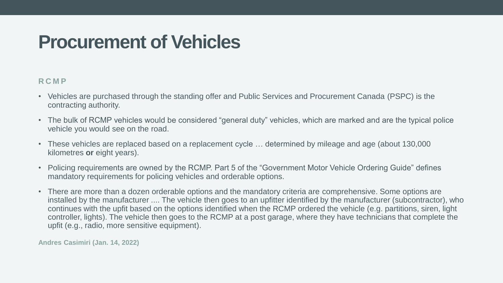### **Procurement of Vehicles**

#### **R C M P**

- Vehicles are purchased through the standing offer and Public Services and Procurement Canada (PSPC) is the contracting authority.
- The bulk of RCMP vehicles would be considered "general duty" vehicles, which are marked and are the typical police vehicle you would see on the road.
- These vehicles are replaced based on a replacement cycle … determined by mileage and age (about 130,000 kilometres **or** eight years).
- Policing requirements are owned by the RCMP. Part 5 of the "Government Motor Vehicle Ordering Guide" defines mandatory requirements for policing vehicles and orderable options.
- There are more than a dozen orderable options and the mandatory criteria are comprehensive. Some options are installed by the manufacturer .... The vehicle then goes to an upfitter identified by the manufacturer (subcontractor), who continues with the upfit based on the options identified when the RCMP ordered the vehicle (e.g. partitions, siren, light controller, lights). The vehicle then goes to the RCMP at a post garage, where they have technicians that complete the upfit (e.g., radio, more sensitive equipment).

**Andres Casimiri (Jan. 14, 2022)**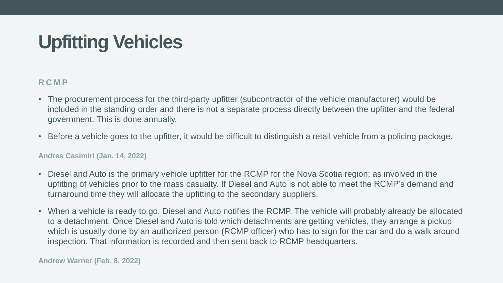### **Upfitting Vehicles**

#### **R C M P**

- The procurement process for the third-party upfitter (subcontractor of the vehicle manufacturer) would be included in the standing order and there is not a separate process directly between the upfitter and the federal government. This is done annually.
- Before a vehicle goes to the upfitter, it would be difficult to distinguish a retail vehicle from a policing package.

#### **Andres Casimiri (Jan. 14, 2022)**

- Diesel and Auto is the primary vehicle upfitter for the RCMP for the Nova Scotia region; as involved in the upfitting of vehicles prior to the mass casualty. If Diesel and Auto is not able to meet the RCMP's demand and turnaround time they will allocate the upfitting to the secondary suppliers.
- When a vehicle is ready to go, Diesel and Auto notifies the RCMP. The vehicle will probably already be allocated to a detachment. Once Diesel and Auto is told which detachments are getting vehicles, they arrange a pickup which is usually done by an authorized person (RCMP officer) who has to sign for the car and do a walk around inspection. That information is recorded and then sent back to RCMP headquarters.

**Andrew Warner (Feb. 8, 2022)**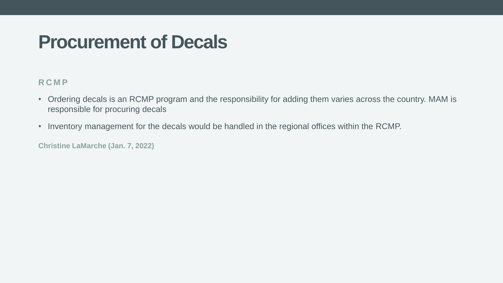### **Procurement of Decals**

#### **R C M P**

- Ordering decals is an RCMP program and the responsibility for adding them varies across the country. MAM is responsible for procuring decals
- Inventory management for the decals would be handled in the regional offices within the RCMP.

**Christine LaMarche (Jan. 7, 2022)**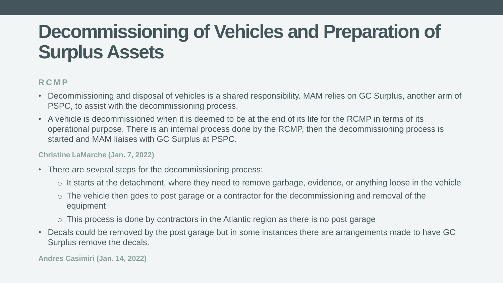### **Decommissioning of Vehicles and Preparation of Surplus Assets**

#### **R C M P**

- Decommissioning and disposal of vehicles is a shared responsibility. MAM relies on GC Surplus, another arm of PSPC, to assist with the decommissioning process.
- A vehicle is decommissioned when it is deemed to be at the end of its life for the RCMP in terms of its operational purpose. There is an internal process done by the RCMP, then the decommissioning process is started and MAM liaises with GC Surplus at PSPC.

#### **Christine LaMarche (Jan. 7, 2022)**

- There are several steps for the decommissioning process:
	- o It starts at the detachment, where they need to remove garbage, evidence, or anything loose in the vehicle
	- o The vehicle then goes to post garage or a contractor for the decommissioning and removal of the equipment
	- $\circ$  This process is done by contractors in the Atlantic region as there is no post garage
- Decals could be removed by the post garage but in some instances there are arrangements made to have GC Surplus remove the decals.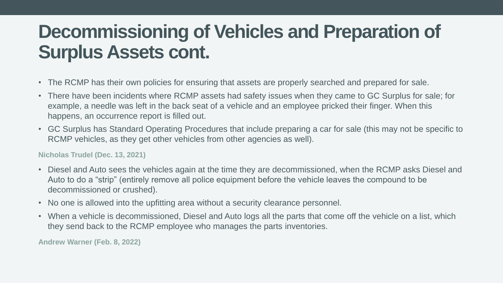### **Decommissioning of Vehicles and Preparation of Surplus Assets cont.**

- The RCMP has their own policies for ensuring that assets are properly searched and prepared for sale.
- There have been incidents where RCMP assets had safety issues when they came to GC Surplus for sale; for example, a needle was left in the back seat of a vehicle and an employee pricked their finger. When this happens, an occurrence report is filled out.
- GC Surplus has Standard Operating Procedures that include preparing a car for sale (this may not be specific to RCMP vehicles, as they get other vehicles from other agencies as well).

#### **Nicholas Trudel (Dec. 13, 2021)**

- Diesel and Auto sees the vehicles again at the time they are decommissioned, when the RCMP asks Diesel and Auto to do a "strip" (entirely remove all police equipment before the vehicle leaves the compound to be decommissioned or crushed).
- No one is allowed into the upfitting area without a security clearance personnel.
- When a vehicle is decommissioned, Diesel and Auto logs all the parts that come off the vehicle on a list, which they send back to the RCMP employee who manages the parts inventories.

**Andrew Warner (Feb. 8, 2022)**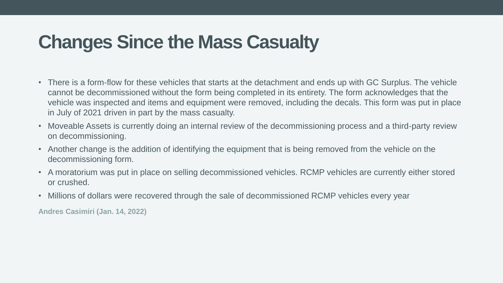### **Changes Since the Mass Casualty**

- There is a form-flow for these vehicles that starts at the detachment and ends up with GC Surplus. The vehicle cannot be decommissioned without the form being completed in its entirety. The form acknowledges that the vehicle was inspected and items and equipment were removed, including the decals. This form was put in place in July of 2021 driven in part by the mass casualty.
- Moveable Assets is currently doing an internal review of the decommissioning process and a third-party review on decommissioning.
- Another change is the addition of identifying the equipment that is being removed from the vehicle on the decommissioning form.
- A moratorium was put in place on selling decommissioned vehicles. RCMP vehicles are currently either stored or crushed.
- Millions of dollars were recovered through the sale of decommissioned RCMP vehicles every year

**Andres Casimiri (Jan. 14, 2022)**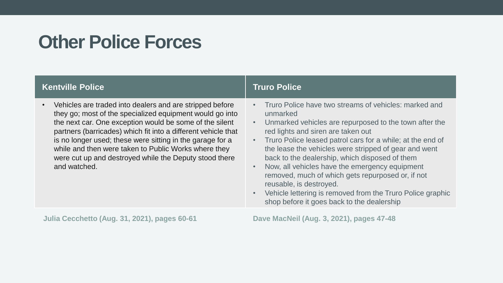### **Other Police Forces**

| <b>Kentville Police</b>                                                                                                                                                                                                                                                                                                                                                                                                                         | <b>Truro Police</b>                                                                                                                                                                                                                                                                                                                                                                                                                                                                                                                                                                      |
|-------------------------------------------------------------------------------------------------------------------------------------------------------------------------------------------------------------------------------------------------------------------------------------------------------------------------------------------------------------------------------------------------------------------------------------------------|------------------------------------------------------------------------------------------------------------------------------------------------------------------------------------------------------------------------------------------------------------------------------------------------------------------------------------------------------------------------------------------------------------------------------------------------------------------------------------------------------------------------------------------------------------------------------------------|
| Vehicles are traded into dealers and are stripped before<br>they go; most of the specialized equipment would go into<br>the next car. One exception would be some of the silent<br>partners (barricades) which fit into a different vehicle that<br>is no longer used; these were sitting in the garage for a<br>while and then were taken to Public Works where they<br>were cut up and destroyed while the Deputy stood there<br>and watched. | Truro Police have two streams of vehicles: marked and<br>unmarked<br>Unmarked vehicles are repurposed to the town after the<br>red lights and siren are taken out<br>Truro Police leased patrol cars for a while; at the end of<br>the lease the vehicles were stripped of gear and went<br>back to the dealership, which disposed of them<br>Now, all vehicles have the emergency equipment<br>removed, much of which gets repurposed or, if not<br>reusable, is destroyed.<br>Vehicle lettering is removed from the Truro Police graphic<br>shop before it goes back to the dealership |
|                                                                                                                                                                                                                                                                                                                                                                                                                                                 |                                                                                                                                                                                                                                                                                                                                                                                                                                                                                                                                                                                          |

**Julia Cecchetto (Aug. 31, 2021), pages 60-61 Dave MacNeil (Aug. 3, 2021), pages 47-48**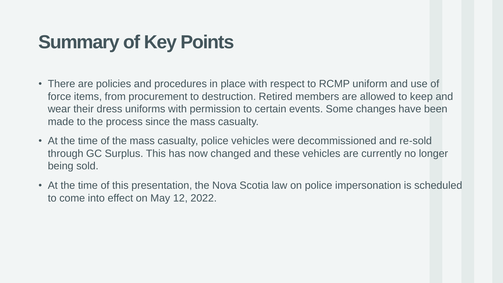### **Summary of Key Points**

- There are policies and procedures in place with respect to RCMP uniform and use of force items, from procurement to destruction. Retired members are allowed to keep and wear their dress uniforms with permission to certain events. Some changes have been made to the process since the mass casualty.
- At the time of the mass casualty, police vehicles were decommissioned and re-sold through GC Surplus. This has now changed and these vehicles are currently no longer being sold.
- At the time of this presentation, the Nova Scotia law on police impersonation is scheduled to come into effect on May 12, 2022.